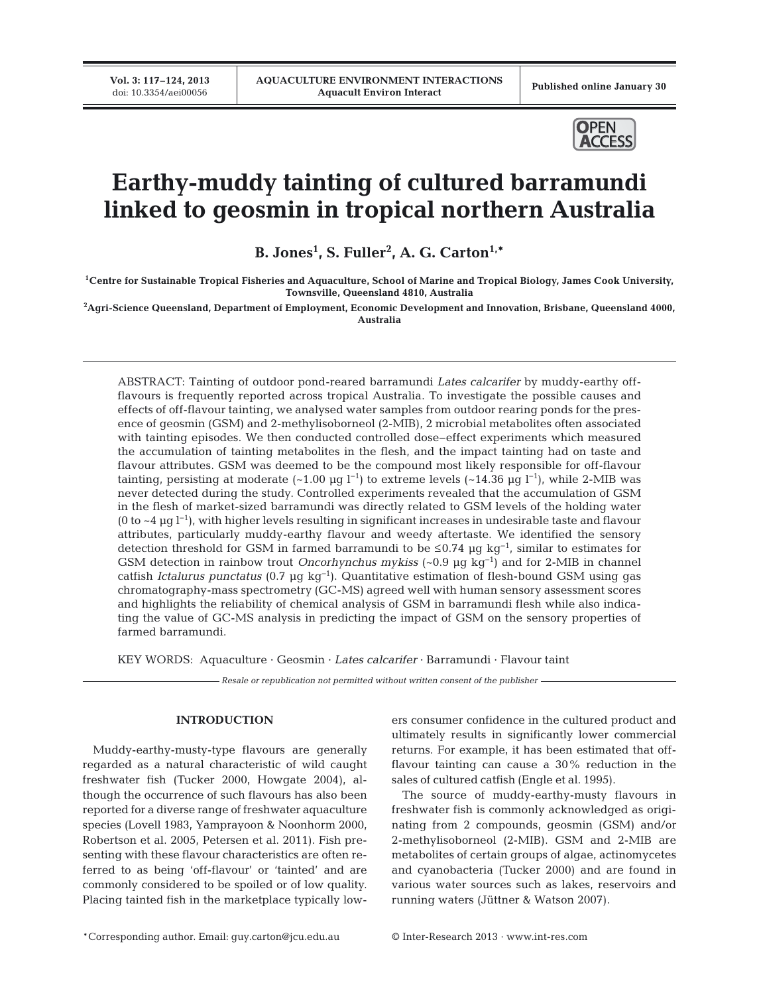**Vol. 3: 117–124, 2013**



# **Earthy-muddy tainting of cultured barramundi linked to geosmin in tropical northern Australia**

**B. Jones1 , S. Fuller2 , A. G. Carton1,\***

**1Centre for Sustainable Tropical Fisheries and Aquaculture, School of Marine and Tropical Biology, James Cook University, Townsville, Queensland 4810, Australia**

**2 Agri-Science Queensland, Department of Employment, Economic Development and Innovation, Brisbane, Queensland 4000, Australia**

ABSTRACT: Tainting of outdoor pond-reared barramundi *Lates calcarifer* by muddy-earthy offflavours is frequently reported across tropical Australia. To investigate the possible causes and effects of off-flavour tainting, we analysed water samples from outdoor rearing ponds for the presence of geosmin (GSM) and 2-methylisoborneol (2-MIB), 2 microbial metabolites often associated with tainting episodes. We then conducted controlled dose−effect experiments which measured the accumulation of tainting metabolites in the flesh, and the impact tainting had on taste and flavour attributes. GSM was deemed to be the compound most likely responsible for off-flavour tainting, persisting at moderate (~1.00 µg l<sup>-1</sup>) to extreme levels (~14.36 µg l<sup>-1</sup>), while 2-MIB was never detected during the study. Controlled experiments revealed that the accumulation of GSM in the flesh of market-sized barramundi was directly related to GSM levels of the holding water (0 to ~4 µg l<sup>−1</sup>), with higher levels resulting in significant increases in undesirable taste and flavour attributes, particularly muddy-earthy flavour and weedy aftertaste. We identified the sensory detection threshold for GSM in farmed barramundi to be ≤0.74 µg kg−1, similar to estimates for GSM detection in rainbow trout *Oncorhynchus mykiss* (~0.9 µg kg<sup>−</sup><sup>1</sup> ) and for 2-MIB in channel catfish *Ictalurus punctatus* (0.7 µg kg<sup>−</sup><sup>1</sup> ). Quantitative estimation of flesh-bound GSM using gas chromatography-mass spectrometry (GC-MS) agreed well with human sensory assessment scores and highlights the reliability of chemical analysis of GSM in barramundi flesh while also indicating the value of GC-MS analysis in predicting the impact of GSM on the sensory properties of farmed barramundi.

KEY WORDS: Aquaculture · Geosmin · *Lates calcarifer* · Barramundi · Flavour taint

*Resale or republication not permitted without written consent of the publisher*

## **INTRODUCTION**

Muddy-earthy-musty-type flavours are generally regarded as a natural characteristic of wild caught freshwater fish (Tucker 2000, Howgate 2004), although the occurrence of such flavours has also been reported for a diverse range of freshwater aquaculture species (Lovell 1983, Yamprayoon & Noonhorm 2000, Robertson et al. 2005, Petersen et al. 2011). Fish presenting with these flavour characteristics are often referred to as being 'off-flavour' or 'tainted' and are commonly considered to be spoiled or of low quality. Placing tainted fish in the marketplace typically lowers consumer confidence in the cultured product and ultimately results in significantly lower commercial returns. For example, it has been estimated that offflavour tainting can cause a 30% reduction in the sales of cultured catfish (Engle et al. 1995).

The source of muddy-earthy-musty flavours in freshwater fish is commonly acknowledged as originating from 2 compounds, geosmin (GSM) and/or 2-methylisoborneol (2-MIB). GSM and 2-MIB are metabolites of certain groups of algae, actinomycetes and cyanobacteria (Tucker 2000) and are found in various water sources such as lakes, reservoirs and running waters (Jüttner & Watson 2007).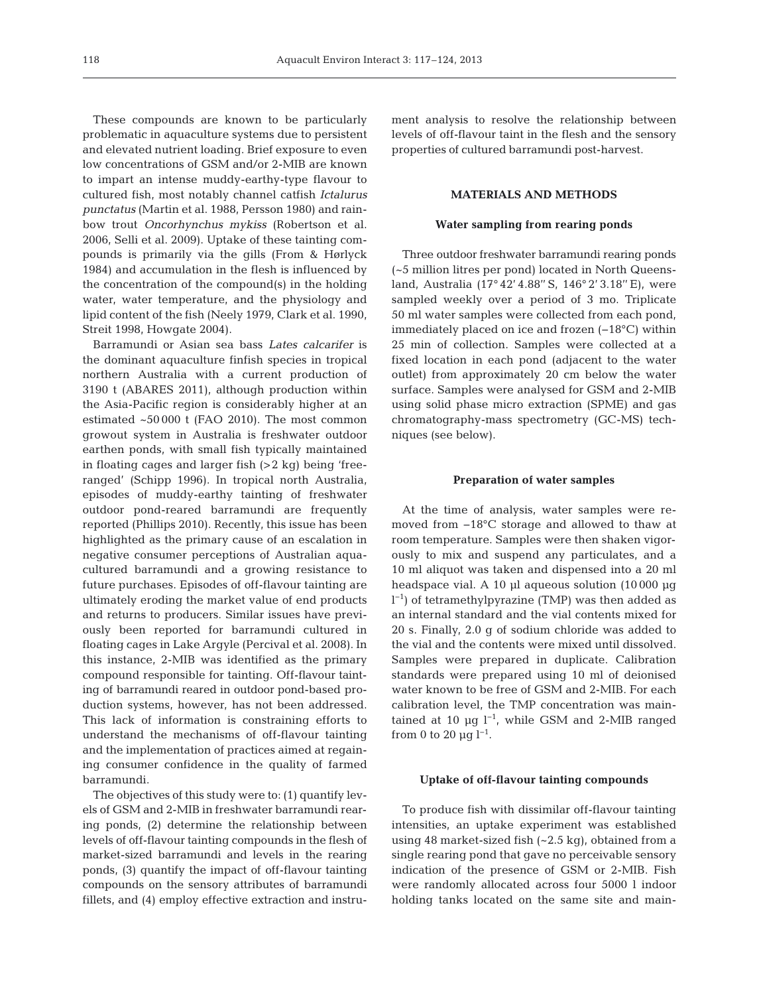These compounds are known to be particularly problematic in aquaculture systems due to persistent and elevated nutrient loading. Brief exposure to even low concentrations of GSM and/or 2-MIB are known to impart an intense muddy-earthy-type flavour to cultured fish, most notably channel catfish *Ictalurus punctatus* (Martin et al. 1988, Persson 1980) and rainbow trout *Oncorhynchus mykiss* (Robertson et al. 2006, Selli et al. 2009). Uptake of these tainting compounds is primarily via the gills (From & Hørlyck 1984) and accumulation in the flesh is influenced by the concentration of the compound(s) in the holding water, water temperature, and the physiology and lipid content of the fish (Neely 1979, Clark et al. 1990, Streit 1998, Howgate 2004).

Barramundi or Asian sea bass *Lates calcarifer* is the dominant aquaculture finfish species in tropical northern Australia with a current production of 3190 t (ABARES 2011), although production within the Asia-Pacific region is considerably higher at an estimated ~50 000 t (FAO 2010). The most common growout system in Australia is freshwater outdoor earthen ponds, with small fish typically maintained in floating cages and larger fish (>2 kg) being 'freeranged' (Schipp 1996). In tropical north Australia, episodes of muddy-earthy tainting of freshwater outdoor pond-reared barramundi are frequently reported (Phillips 2010). Recently, this issue has been highlighted as the primary cause of an escalation in negative consumer perceptions of Australian aquacultured barramundi and a growing resistance to future purchases. Episodes of off-flavour tainting are ultimately eroding the market value of end products and returns to producers. Similar issues have previously been reported for barramundi cultured in floating cages in Lake Argyle (Percival et al. 2008). In this instance, 2-MIB was identified as the primary compound responsible for tainting. Off-flavour tainting of barramundi reared in outdoor pond-based production systems, however, has not been addressed. This lack of information is constraining efforts to understand the mechanisms of off-flavour tainting and the implementation of practices aimed at regaining consumer confidence in the quality of farmed barramundi.

The objectives of this study were to: (1) quantify levels of GSM and 2-MIB in freshwater barramundi rearing ponds, (2) determine the relationship between levels of off-flavour tainting compounds in the flesh of market-sized barramundi and levels in the rearing ponds, (3) quantify the impact of off-flavour tainting compounds on the sensory attributes of barramundi fillets, and (4) employ effective extraction and instrument analysis to resolve the relationship between levels of off-flavour taint in the flesh and the sensory properties of cultured barramundi post-harvest.

## **MATERIALS AND METHODS**

#### **Water sampling from rearing ponds**

Three outdoor freshwater barramundi rearing ponds (~5 million litres per pond) located in North Queensland, Australia (17° 42' 4.88'' S, 146° 2' 3.18'' E), were sampled weekly over a period of 3 mo. Triplicate 50 ml water samples were collected from each pond, immediately placed on ice and frozen (−18°C) within 25 min of collection. Samples were collected at a fixed location in each pond (adjacent to the water outlet) from approximately 20 cm below the water surface. Samples were analysed for GSM and 2-MIB using solid phase micro extraction (SPME) and gas chromatography-mass spectrometry (GC-MS) techniques (see below).

#### **Preparation of water samples**

At the time of analysis, water samples were removed from −18°C storage and allowed to thaw at room temperature. Samples were then shaken vigorously to mix and suspend any particulates, and a 10 ml aliquot was taken and dispensed into a 20 ml headspace vial. A 10 µl aqueous solution (10000 µg l −1) of tetramethylpyrazine (TMP) was then added as an internal standard and the vial contents mixed for 20 s. Finally, 2.0 g of sodium chloride was added to the vial and the contents were mixed until dissolved. Samples were prepared in duplicate. Calibration standards were prepared using 10 ml of deionised water known to be free of GSM and 2-MIB. For each calibration level, the TMP concentration was maintained at 10 µg l−1, while GSM and 2-MIB ranged from 0 to 20  $\mu$ g l<sup>-1</sup>.

### **Uptake of off-flavour tainting compounds**

To produce fish with dissimilar off-flavour tainting intensities, an uptake experiment was established using 48 market-sized fish (~2.5 kg), obtained from a single rearing pond that gave no perceivable sensory indication of the presence of GSM or 2-MIB. Fish were randomly allocated across four 5000 l indoor holding tanks located on the same site and main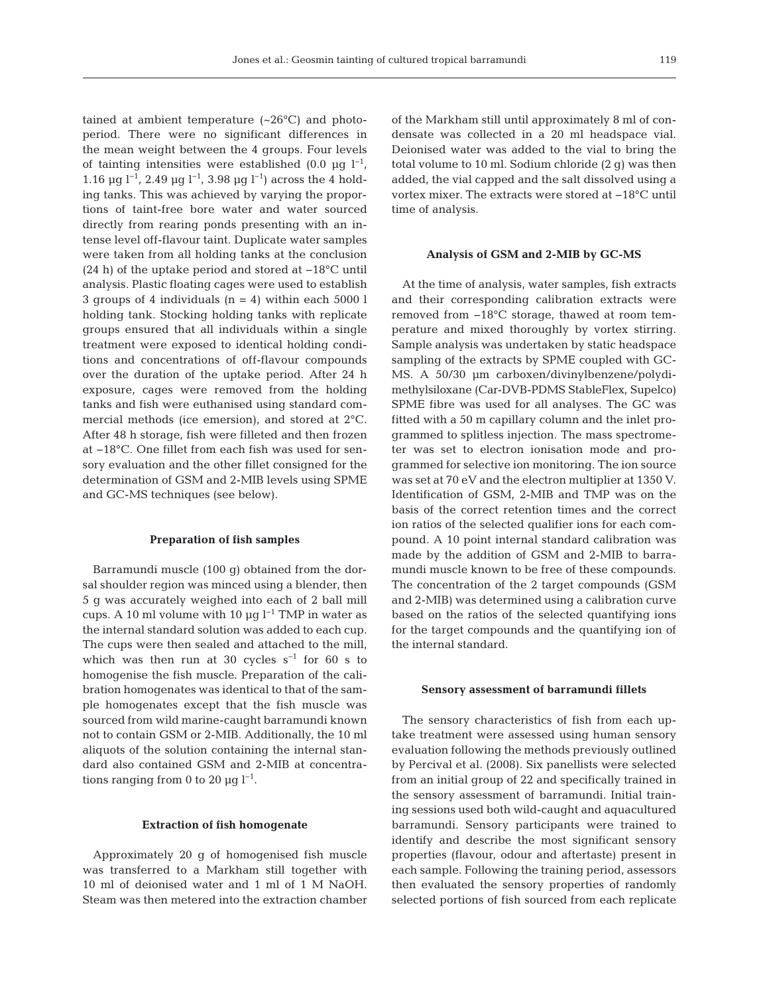tained at ambient temperature  $({\sim}26^{\circ}C)$  and photoperiod. There were no significant differences in the mean weight between the 4 groups. Four levels of tainting intensities were established (0.0 µg  $l^{-1}$ , 1.16 µg l−1, 2.49 µg l−1, 3.98 µg l−1) across the 4 holding tanks. This was achieved by varying the proportions of taint-free bore water and water sourced directly from rearing ponds presenting with an intense level off-flavour taint. Duplicate water samples were taken from all holding tanks at the conclusion (24 h) of the uptake period and stored at −18°C until analysis. Plastic floating cages were used to establish 3 groups of 4 individuals  $(n = 4)$  within each 5000 l holding tank. Stocking holding tanks with replicate groups ensured that all individuals within a single treatment were exposed to identical holding conditions and concentrations of off-flavour compounds over the duration of the uptake period. After 24 h exposure, cages were removed from the holding tanks and fish were euthanised using standard commercial methods (ice emersion), and stored at 2°C. After 48 h storage, fish were filleted and then frozen at −18°C. One fillet from each fish was used for sensory evaluation and the other fillet consigned for the determination of GSM and 2-MIB levels using SPME and GC-MS techniques (see below).

#### **Preparation of fish samples**

Barramundi muscle (100 g) obtained from the dorsal shoulder region was minced using a blender, then 5 g was accurately weighed into each of 2 ball mill cups. A 10 ml volume with 10 µg  $l^{-1}$  TMP in water as the internal standard solution was added to each cup. The cups were then sealed and attached to the mill, which was then run at 30 cycles  $s^{-1}$  for 60 s to homogenise the fish muscle. Preparation of the calibration homogenates was identical to that of the sample homogenates except that the fish muscle was sourced from wild marine-caught barramundi known not to contain GSM or 2-MIB. Additionally, the 10 ml aliquots of the solution containing the internal standard also contained GSM and 2-MIB at concentrations ranging from 0 to 20 µg  $l^{-1}$ .

#### **Extraction of fish homogenate**

Approximately 20 g of homogenised fish muscle was transferred to a Markham still together with 10 ml of deionised water and 1 ml of 1 M NaOH. Steam was then metered into the extraction chamber of the Markham still until approximately 8 ml of condensate was collected in a 20 ml headspace vial. Deionised water was added to the vial to bring the total volume to 10 ml. Sodium chloride (2 g) was then added, the vial capped and the salt dissolved using a vortex mixer. The extracts were stored at −18°C until time of analysis.

#### **Analysis of GSM and 2-MIB by GC-MS**

At the time of analysis, water samples, fish extracts and their corresponding calibration extracts were removed from −18°C storage, thawed at room temperature and mixed thoroughly by vortex stirring. Sample analysis was undertaken by static headspace sampling of the extracts by SPME coupled with GC-MS. A 50/30 µm carboxen/divinylbenzene/polydimethylsiloxane (Car-DVB-PDMS StableFlex, Supelco) SPME fibre was used for all analyses. The GC was fitted with a 50 m capillary column and the inlet programmed to splitless injection. The mass spectrometer was set to electron ionisation mode and programmed for selective ion monitoring. The ion source was set at 70 eV and the electron multiplier at 1350 V. Identification of GSM, 2-MIB and TMP was on the basis of the correct retention times and the correct ion ratios of the selected qualifier ions for each compound. A 10 point internal standard calibration was made by the addition of GSM and 2-MIB to barramundi muscle known to be free of these compounds. The concentration of the 2 target compounds (GSM and 2-MIB) was determined using a calibration curve based on the ratios of the selected quantifying ions for the target compounds and the quantifying ion of the internal standard.

#### **Sensory assessment of barramundi fillets**

The sensory characteristics of fish from each uptake treatment were assessed using human sensory evaluation following the methods previously outlined by Percival et al. (2008). Six panellists were selected from an initial group of 22 and specifically trained in the sensory assessment of barramundi. Initial training sessions used both wild-caught and aquacultured barramundi. Sensory participants were trained to identify and describe the most significant sensory properties (flavour, odour and aftertaste) present in each sample. Following the training period, assessors then evaluated the sensory properties of randomly selected portions of fish sourced from each replicate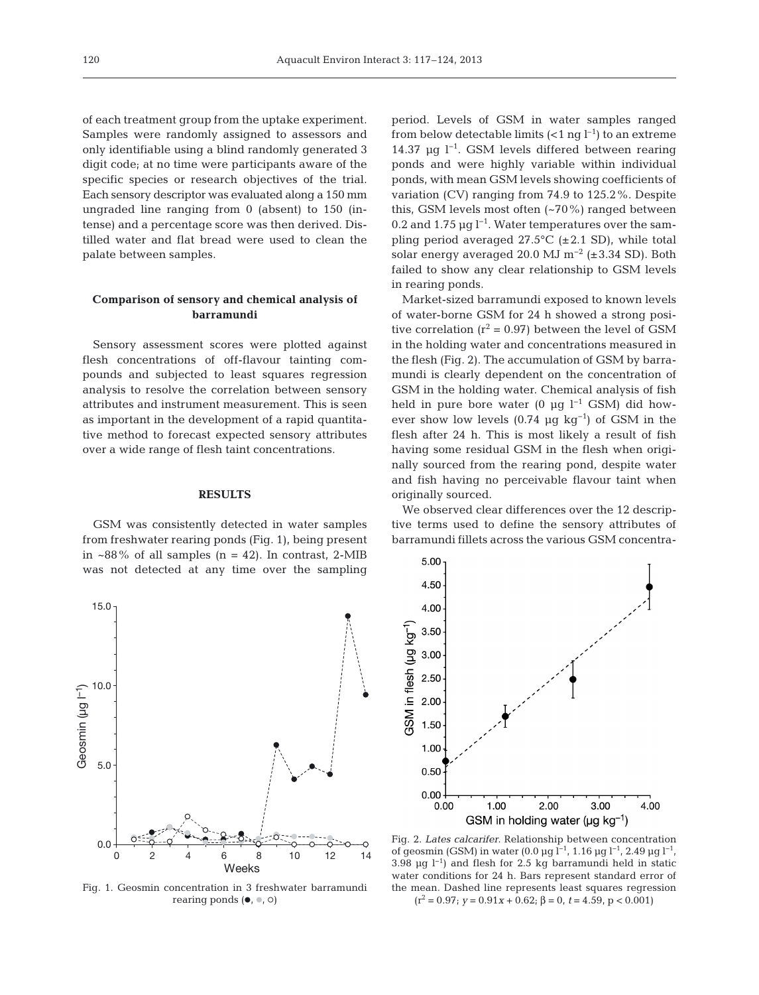of each treatment group from the uptake experiment. Samples were randomly assigned to assessors and only identifiable using a blind randomly generated 3 digit code; at no time were participants aware of the specific species or research objectives of the trial. Each sensory descriptor was evaluated along a 150 mm ungraded line ranging from 0 (absent) to 150 (intense) and a percentage score was then derived. Distilled water and flat bread were used to clean the palate between samples.

# **Comparison of sensory and chemical analysis of barramundi**

Sensory assessment scores were plotted against flesh concentrations of off-flavour tainting compounds and subjected to least squares regression analysis to resolve the correlation between sensory attributes and instrument measurement. This is seen as important in the development of a rapid quantitative method to forecast expected sensory attributes over a wide range of flesh taint concentrations.

## **RESULTS**

GSM was consistently detected in water samples from freshwater rearing ponds (Fig. 1), being present in  $\sim88\%$  of all samples (n = 42). In contrast, 2-MIB was not detected at any time over the sampling period. Levels of GSM in water samples ranged from below detectable limits  $(<1$  ng  $l^{-1}$ ) to an extreme 14.37 µg l−1. GSM levels differed between rearing ponds and were highly variable within individual ponds, with mean GSM levels showing coefficients of variation (CV) ranging from 74.9 to 125.2%. Despite this, GSM levels most often (~70%) ranged between 0.2 and 1.75 µg  $l^{-1}$ . Water temperatures over the sampling period averaged 27.5°C (±2.1 SD), while total solar energy averaged 20.0 MJ m−2 (±3.34 SD). Both failed to show any clear relationship to GSM levels in rearing ponds.

Market-sized barramundi exposed to known levels of water-borne GSM for 24 h showed a strong positive correlation ( $r^2$  = 0.97) between the level of GSM in the holding water and concentrations measured in the flesh (Fig. 2). The accumulation of GSM by barramundi is clearly dependent on the concentration of GSM in the holding water. Chemical analysis of fish held in pure bore water (0 µg  $l^{-1}$  GSM) did however show low levels (0.74 µg kg<sup>-1</sup>) of GSM in the flesh after 24 h. This is most likely a result of fish having some residual GSM in the flesh when originally sourced from the rearing pond, despite water and fish having no perceivable flavour taint when originally sourced.

We observed clear differences over the 12 descriptive terms used to define the sensory attributes of barramundi fillets across the various GSM concentra-



rearing ponds  $(\bullet, \bullet, \circ)$ 



Fig. 2. *Lates calcarifer.* Relationship between concentration of geosmin (GSM) in water (0.0 µg l−1, 1.16 µg l−1, 2.49 µg l−1, 3.98 µg l−1) and flesh for 2.5 kg barramundi held in static water conditions for 24 h. Bars represent standard error of the mean. Dashed line represents least squares regression  $(r^2 = 0.97; y = 0.91x + 0.62; \beta = 0, t = 4.59, p < 0.001)$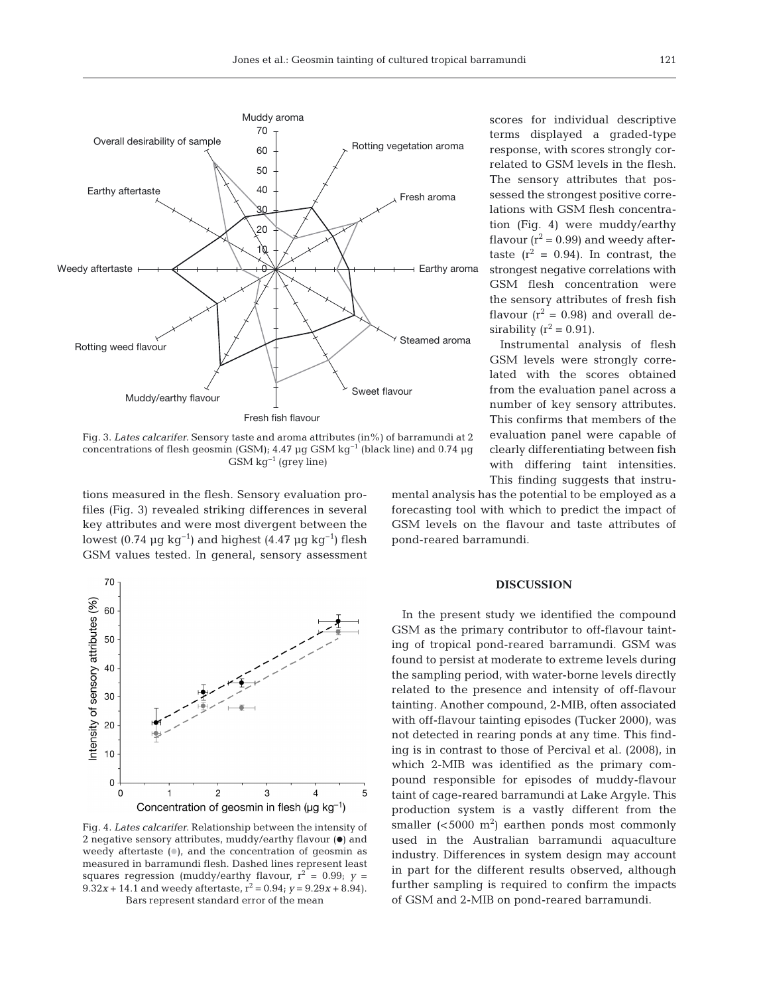

Fig. 3. *Lates calcarifer.* Sensory taste and aroma attributes (in%) of barramundi at 2 concentrations of flesh geosmin (GSM); 4.47 µg GSM kg−1 (black line) and 0.74 µg GSM kg−1 (grey line)

tions measured in the flesh. Sensory evaluation profiles (Fig. 3) revealed striking differences in several key attributes and were most divergent between the lowest (0.74 µg kg<sup>-1</sup>) and highest (4.47 µg kg<sup>-1</sup>) flesh GSM values tested. In general, sensory assessment



Fig. 4. *Lates calcarifer.* Relationship between the intensity of 2 negative sensory attributes, muddy/earthy flavour  $(\bullet)$  and weedy aftertaste  $($ 0 $)$ , and the concentration of geosmin as measured in barramundi flesh. Dashed lines represent least squares regression (muddy/earthy flavour,  $r^2 = 0.99$ ;  $y =$ 9.32*x* + 14.1 and weedy aftertaste,  $r^2 = 0.94$ ;  $y = 9.29x + 8.94$ . Bars represent standard error of the mean

scores for individual descriptive terms displayed a graded-type response, with scores strongly correlated to GSM levels in the flesh. The sensory attributes that possessed the strongest positive correlations with GSM flesh concentration (Fig. 4) were muddy/earthy flavour  $(r^2 = 0.99)$  and weedy aftertaste  $(r^2 = 0.94)$ . In contrast, the strongest negative correlations with GSM flesh concentration were the sensory attributes of fresh fish flavour  $(r^2 = 0.98)$  and overall desirability ( $r^2$  = 0.91).

Instrumental analysis of flesh GSM levels were strongly correlated with the scores obtained from the evaluation panel across a number of key sensory attributes. This confirms that members of the evaluation panel were capable of clearly differentiating between fish with differing taint intensities. This finding suggests that instru-

mental analysis has the potential to be employed as a forecasting tool with which to predict the impact of GSM levels on the flavour and taste attributes of pond-reared barramundi.

#### **DISCUSSION**

In the present study we identified the compound GSM as the primary contributor to off-flavour tainting of tropical pond-reared barramundi. GSM was found to persist at moderate to extreme levels during the sampling period, with water-borne levels directly related to the presence and intensity of off-flavour tainting. Another compound, 2-MIB, often associated with off-flavour tainting episodes (Tucker 2000), was not detected in rearing ponds at any time. This finding is in contrast to those of Percival et al. (2008), in which 2-MIB was identified as the primary compound responsible for episodes of muddy-flavour taint of cage-reared barramundi at Lake Argyle. This production system is a vastly different from the smaller  $( $5000 \, \text{m}^2$ ) earthen bonds most commonly$ used in the Australian barramundi aquaculture industry. Differences in system design may account in part for the different results observed, although further sampling is required to confirm the impacts of GSM and 2-MIB on pond-reared barramundi.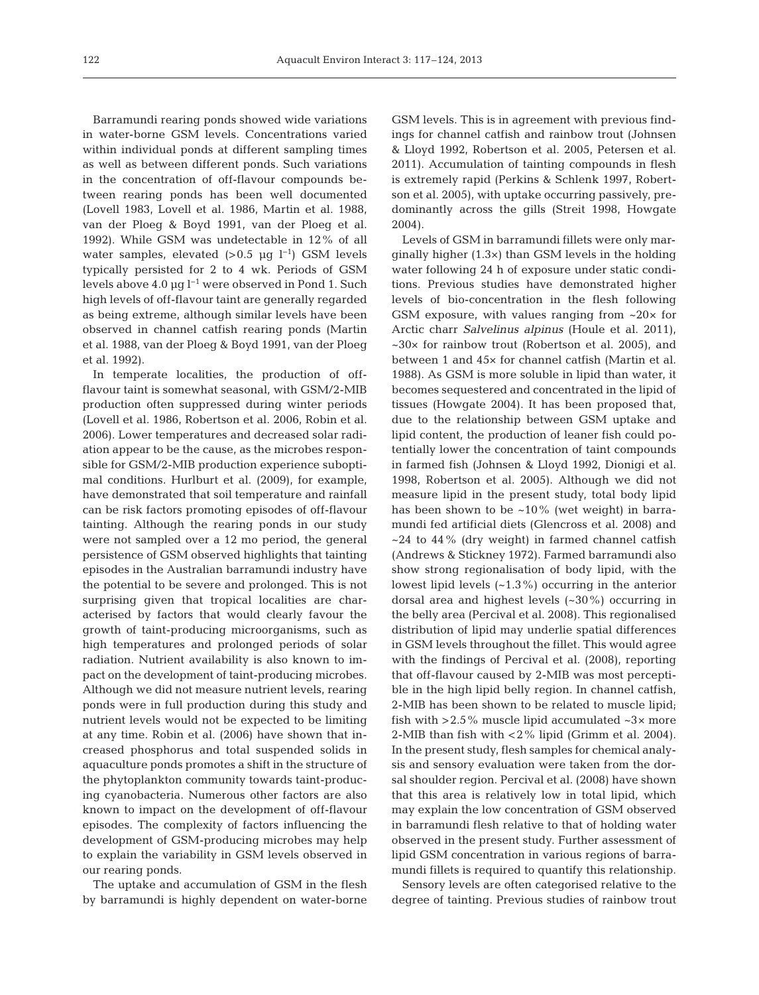Barramundi rearing ponds showed wide variations in water-borne GSM levels. Concentrations varied within individual ponds at different sampling times as well as between different ponds. Such variations in the concentration of off-flavour compounds be tween rearing ponds has been well documented (Lovell 1983, Lovell et al. 1986, Martin et al. 1988, van der Ploeg & Boyd 1991, van der Ploeg et al. 1992). While GSM was undetectable in 12% of all water samples, elevated (>0.5 µg l<sup>-1</sup>) GSM levels typically persisted for 2 to 4 wk. Periods of GSM levels above 4.0 µg l−1 were observed in Pond 1. Such high levels of off-flavour taint are generally regarded as being extreme, although similar levels have been observed in channel catfish rearing ponds (Martin et al. 1988, van der Ploeg & Boyd 1991, van der Ploeg et al. 1992).

In temperate localities, the production of offflavour taint is somewhat seasonal, with GSM/2-MIB production often suppressed during winter periods (Lovell et al. 1986, Robertson et al. 2006, Robin et al. 2006). Lower temperatures and decreased solar radiation appear to be the cause, as the microbes responsible for GSM/2-MIB production experience suboptimal conditions. Hurlburt et al. (2009), for example, have demonstrated that soil temperature and rainfall can be risk factors promoting episodes of off-flavour tainting. Although the rearing ponds in our study were not sampled over a 12 mo period, the general persistence of GSM observed highlights that tainting episodes in the Australian barramundi industry have the potential to be severe and prolonged. This is not surprising given that tropical localities are characterised by factors that would clearly favour the growth of taint-producing microorganisms, such as high temperatures and prolonged periods of solar radiation. Nutrient availability is also known to im pact on the development of taint-producing microbes. Although we did not measure nutrient levels, rearing ponds were in full production during this study and nutrient levels would not be expected to be limiting at any time. Robin et al. (2006) have shown that increased phosphorus and total suspended solids in aquaculture ponds promotes a shift in the structure of the phytoplankton community towards taint-producing cyanobacteria. Numerous other factors are also known to impact on the development of off-flavour episodes. The complexity of factors influencing the development of GSM-producing microbes may help to explain the variability in GSM levels observed in our rearing ponds.

The uptake and accumulation of GSM in the flesh by barramundi is highly dependent on water-borne

GSM levels. This is in agreement with previous findings for channel catfish and rainbow trout (Johnsen & Lloyd 1992, Robertson et al. 2005, Petersen et al. 2011). Accumulation of tainting compounds in flesh is extremely rapid (Perkins & Schlenk 1997, Robertson et al. 2005), with uptake occurring passively, predominantly across the gills (Streit 1998, Howgate 2004).

Levels of GSM in barramundi fillets were only marginally higher (1.3×) than GSM levels in the holding water following 24 h of exposure under static conditions. Previous studies have demonstrated higher levels of bio-concentration in the flesh following GSM exposure, with values ranging from  $\sim 20 \times$  for Arctic charr *Salvelinus alpinus* (Houle et al. 2011),  $\sim$ 30 $\times$  for rainbow trout (Robertson et al. 2005), and between 1 and 45× for channel catfish (Martin et al. 1988). As GSM is more soluble in lipid than water, it becomes sequestered and concentrated in the lipid of tissues (Howgate 2004). It has been proposed that, due to the relationship between GSM uptake and lipid content, the production of leaner fish could potentially lower the concentration of taint compounds in farmed fish (Johnsen & Lloyd 1992, Dionigi et al. 1998, Robertson et al. 2005). Although we did not measure lipid in the present study, total body lipid has been shown to be ~10% (wet weight) in barramundi fed artificial diets (Glencross et al. 2008) and  $\sim$ 24 to 44% (dry weight) in farmed channel catfish (Andrews & Stickney 1972). Farmed barramundi also show strong regionalisation of body lipid, with the lowest lipid levels  $(-1.3\%)$  occurring in the anterior dorsal area and highest levels (~30%) occurring in the belly area (Percival et al. 2008). This regionalised distribution of lipid may underlie spatial differences in GSM levels throughout the fillet. This would agree with the findings of Percival et al. (2008), reporting that off-flavour caused by 2-MIB was most perceptible in the high lipid belly region. In channel catfish, 2-MIB has been shown to be related to muscle lipid; fish with  $>2.5\%$  muscle lipid accumulated  $\sim3\times$  more 2-MIB than fish with <2% lipid (Grimm et al. 2004). In the present study, flesh samples for chemical analysis and sensory evaluation were taken from the dorsal shoulder region. Percival et al. (2008) have shown that this area is relatively low in total lipid, which may explain the low concentration of GSM observed in barramundi flesh relative to that of holding water ob served in the present study. Further assessment of lipid GSM concentration in various regions of barramundi fillets is required to quantify this relationship.

Sensory levels are often categorised relative to the degree of tainting. Previous studies of rainbow trout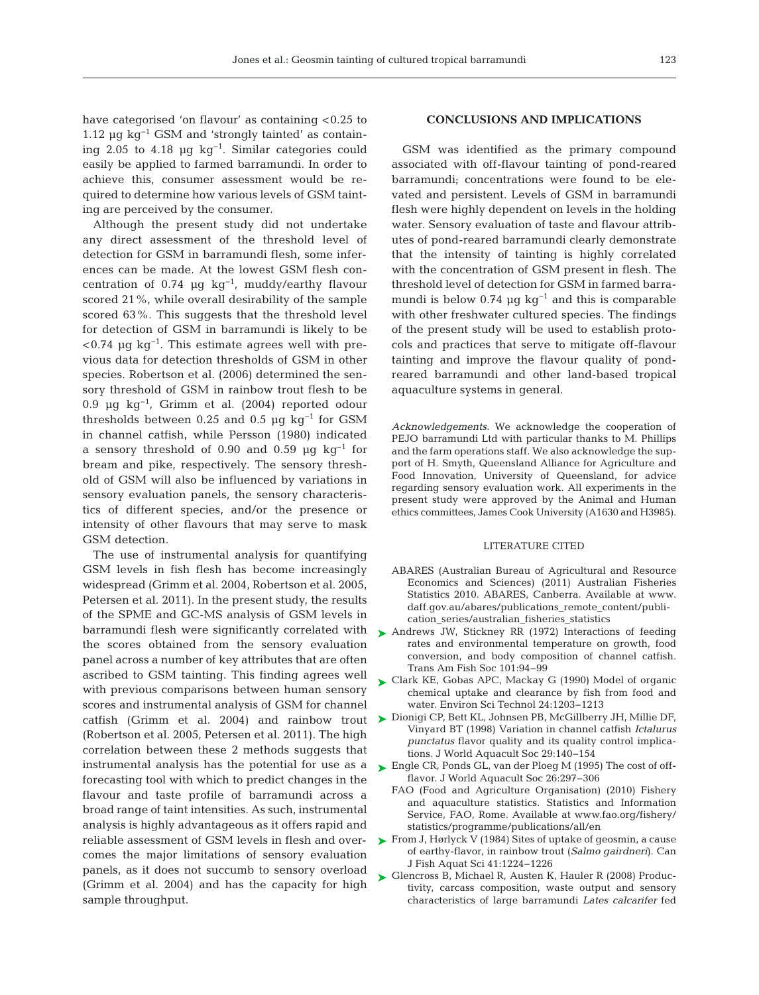have categorised 'on flavour' as containing <0.25 to 1.12  $\mu$ g kg<sup>-1</sup> GSM and 'strongly tainted' as containing 2.05 to 4.18 µg  $kg^{-1}$ . Similar categories could easily be applied to farmed barramundi. In order to achieve this, consumer assessment would be required to determine how various levels of GSM tainting are perceived by the consumer.

Although the present study did not undertake any direct assessment of the threshold level of detection for GSM in barramundi flesh, some inferences can be made. At the lowest GSM flesh concentration of 0.74 µg  $kg^{-1}$ , muddy/earthy flavour scored 21%, while overall desirability of the sample scored 63%. This suggests that the threshold level for detection of GSM in barramundi is likely to be  $< 0.74$  µg kg<sup>-1</sup>. This estimate agrees well with previous data for detection thresholds of GSM in other species. Robertson et al. (2006) determined the sensory threshold of GSM in rainbow trout flesh to be 0.9 µg kg−1, Grimm et al. (2004) reported odour thresholds between 0.25 and 0.5 µg  $kq^{-1}$  for GSM in channel catfish, while Persson (1980) indicated a sensory threshold of 0.90 and 0.59  $\mu$ g kg<sup>-1</sup> for bream and pike, respectively. The sensory threshold of GSM will also be influenced by variations in sensory evaluation panels, the sensory characteristics of different species, and/or the presence or intensity of other flavours that may serve to mask GSM detection.

The use of instrumental analysis for quantifying GSM levels in fish flesh has become increasingly widespread (Grimm et al. 2004, Robertson et al. 2005, Petersen et al. 2011). In the present study, the results of the SPME and GC-MS analysis of GSM levels in barramundi flesh were significantly correlated with the scores obtained from the sensory evaluation panel across a number of key attributes that are often ascribed to GSM tainting. This finding agrees well with previous comparisons between human sensory scores and instrumental analysis of GSM for channel (Robertson et al. 2005, Petersen et al. 2011). The high correlation between these 2 methods suggests that instrumental analysis has the potential for use as a forecasting tool with which to predict changes in the flavour and taste profile of barramundi across a broad range of taint intensities. As such, instrumental analysis is highly advantageous as it offers rapid and reliable assessment of GSM levels in flesh and overcomes the major limitations of sensory evaluation panels, as it does not succumb to sensory overload (Grimm et al. 2004) and has the capacity for high sample throughput.

# **CONCLUSIONS AND IMPLICATIONS**

GSM was identified as the primary compound associated with off-flavour tainting of pond-reared barramundi; concentrations were found to be elevated and persistent. Levels of GSM in barramundi flesh were highly dependent on levels in the holding water. Sensory evaluation of taste and flavour attributes of pond-reared barramundi clearly demonstrate that the intensity of tainting is highly correlated with the concentration of GSM present in flesh. The threshold level of detection for GSM in farmed barramundi is below 0.74 µg kg<sup>-1</sup> and this is comparable with other freshwater cultured species. The findings of the present study will be used to establish protocols and practices that serve to mitigate off-flavour tainting and improve the flavour quality of pondreared barramundi and other land-based tropical aquaculture systems in general.

*Acknowledgements.* We acknowledge the cooperation of PEJO barramundi Ltd with particular thanks to M. Phillips and the farm operations staff. We also acknowledge the support of H. Smyth, Queensland Alliance for Agriculture and Food Innovation, University of Queensland, for advice regarding sensory evaluation work. All experiments in the present study were approved by the Animal and Human ethics committees, James Cook University (A1630 and H3985).

#### LITERATURE CITED

- ABARES (Australian Bureau of Agricultural and Resource Economics and Sciences) (2011) Australian Fisheries Statistics 2010. ABARES, Canberra. Available at www. daff.gov.au/abares/publications\_remote\_content/publication\_series/australian\_fisheries\_statistics
- ▶ Andrews JW, Stickney RR (1972) Interactions of feeding rates and environmental temperature on growth, food conversion, and body composition of channel catfish. Trans Am Fish Soc 101:94−99
- ► Clark KE, Gobas APC, Mackay G (1990) Model of organic chemical uptake and clearance by fish from food and water. Environ Sci Technol 24:1203−1213
- catfish (Grimm et al. 2004) and rainbow trout ► Dionigi CP, Bett KL, Johnsen PB, McGillberry JH, Millie DF, Vinyard BT (1998) Variation in channel catfish *Ictalurus punctatus* flavor quality and its quality control implications. J World Aquacult Soc 29:140−154
	- Engle CR, Ponds GL, van der Ploeg M (1995) The cost of off-➤ flavor. J World Aquacult Soc 26:297−306
		- FAO (Food and Agriculture Organisation) (2010) Fishery and aquaculture statistics. Statistics and Information Service, FAO, Rome. Available at www.fao.org/fishery/ statistics/programme/publications/all/en
	- ► From J, Hørlyck V (1984) Sites of uptake of geosmin, a cause of earthy-flavor, in rainbow trout (*Salmo gairdneri*). Can J Fish Aquat Sci 41:1224−1226
	- ► Glencross B, Michael R, Austen K, Hauler R (2008) Productivity, carcass composition, waste output and sensory characteristics of large barramundi *Lates calcarifer* fed